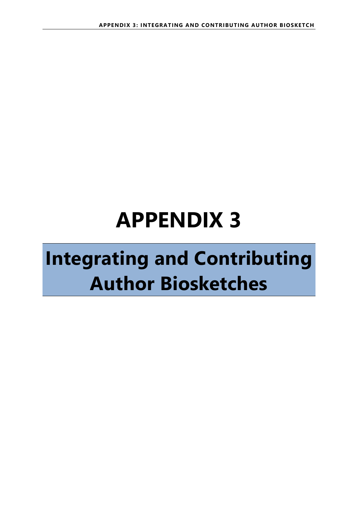# **APPENDIX 3**

## **Integrating and Contributing Author Biosketches**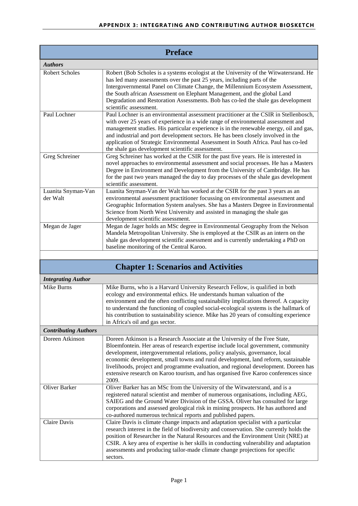| <b>Preface</b>                 |                                                                                                                                                                                                                                                                                                                                                                                                                                                                                                                               |
|--------------------------------|-------------------------------------------------------------------------------------------------------------------------------------------------------------------------------------------------------------------------------------------------------------------------------------------------------------------------------------------------------------------------------------------------------------------------------------------------------------------------------------------------------------------------------|
| <b>Authors</b>                 |                                                                                                                                                                                                                                                                                                                                                                                                                                                                                                                               |
| <b>Robert Scholes</b>          | Robert (Bob Scholes is a systems ecologist at the University of the Witwatersrand. He<br>has led many assessments over the past 25 years, including parts of the<br>Intergovernmental Panel on Climate Change, the Millennium Ecosystem Assessment,<br>the South african Assessment on Elephant Management, and the global Land<br>Degradation and Restoration Assessments. Bob has co-led the shale gas development<br>scientific assessment.                                                                                |
| Paul Lochner                   | Paul Lochner is an environmental assessment practitioner at the CSIR in Stellenbosch,<br>with over 25 years of experience in a wide range of environmental assessment and<br>management studies. His particular experience is in the renewable energy, oil and gas,<br>and industrial and port development sectors. He has been closely involved in the<br>application of Strategic Environmental Assessment in South Africa. Paul has co-led<br>the shale gas development scientific assessment.                             |
| Greg Schreiner                 | Greg Schreiner has worked at the CSIR for the past five years. He is interested in<br>novel approaches to environmental assessment and social processes. He has a Masters<br>Degree in Environment and Development from the University of Cambridge. He has<br>for the past two years managed the day to day processes of the shale gas development<br>scientific assessment.                                                                                                                                                 |
| Luanita Snyman-Van<br>der Walt | Luanita Snyman-Van der Walt has worked at the CSIR for the past 3 years as an<br>environmental assessment practitioner focussing on environmental assessment and<br>Geographic Information System analyses. She has a Masters Degree in Environmental<br>Science from North West University and assisted in managing the shale gas<br>development scientific assessment.                                                                                                                                                      |
| Megan de Jager                 | Megan de Jager holds an MSc degree in Environmental Geography from the Nelson<br>Mandela Metropolitan University. She is employed at the CSIR as an intern on the<br>shale gas development scientific assessment and is currently undertaking a PhD on<br>baseline monitoring of the Central Karoo.                                                                                                                                                                                                                           |
|                                | <b>Chapter 1: Scenarios and Activities</b>                                                                                                                                                                                                                                                                                                                                                                                                                                                                                    |
| <b>Integrating Author</b>      |                                                                                                                                                                                                                                                                                                                                                                                                                                                                                                                               |
| Mike Burns                     | Mike Burns, who is a Harvard University Research Fellow, is qualified in both<br>ecology and environmental ethics. He understands human valuation of the<br>environment and the often conflicting sustainability implications thereof. A capacity<br>to understand the functioning of coupled social-ecological systems is the hallmark of<br>his contribution to sustainability science. Mike has 20 years of consulting experience<br>in Africa's oil and gas sector.                                                       |
| <b>Contributing Authors</b>    |                                                                                                                                                                                                                                                                                                                                                                                                                                                                                                                               |
| Doreen Atkinson                | Doreen Atkinson is a Research Associate at the University of the Free State,<br>Bloemfontein. Her areas of research expertise include local government, community<br>development, intergovernmental relations, policy analysis, governance, local<br>economic development, small towns and rural development, land reform, sustainable<br>livelihoods, project and programme evaluation, and regional development. Doreen has<br>extensive research on Karoo tourism, and has organised five Karoo conferences since<br>2009. |
| Oliver Barker                  | Oliver Barker has an MSc from the University of the Witwatersrand, and is a<br>registered natural scientist and member of numerous organisations, including AEG,<br>SAIEG and the Ground Water Division of the GSSA. Oliver has consulted for large<br>corporations and assessed geological risk in mining prospects. He has authored and<br>co-authored numerous technical reports and published papers.                                                                                                                     |
| Claire Davis                   | Claire Davis is climate change impacts and adaptation specialist with a particular<br>research interest in the field of biodiversity and conservation. She currently holds the<br>position of Researcher in the Natural Resources and the Environment Unit (NRE) at<br>CSIR. A key area of expertise is her skills in conducting vulnerability and adaptation<br>assessments and producing tailor-made climate change projections for specific<br>sectors.                                                                    |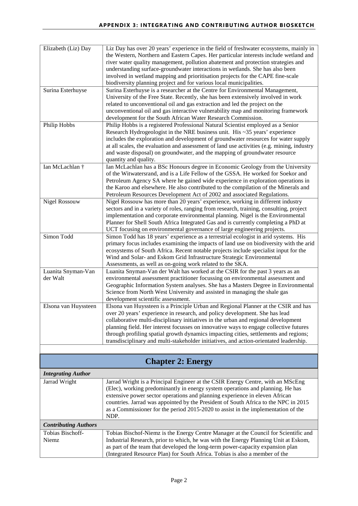| Elizabeth (Liz) Day                        | Liz Day has over 20 years' experience in the field of freshwater ecosystems, mainly in<br>the Western, Northern and Eastern Capes. Her particular interests include wetland and<br>river water quality management, pollution abatement and protection strategies and<br>understanding surface-groundwater interactions in wetlands. She has also been<br>involved in wetland mapping and prioritisation projects for the CAPE fine-scale<br>biodiversity planning project and for various local municipalities.                    |
|--------------------------------------------|------------------------------------------------------------------------------------------------------------------------------------------------------------------------------------------------------------------------------------------------------------------------------------------------------------------------------------------------------------------------------------------------------------------------------------------------------------------------------------------------------------------------------------|
| Surina Esterhuyse                          | Surina Esterhuyse is a researcher at the Centre for Environmental Management,<br>University of the Free State. Recently, she has been extensively involved in work<br>related to unconventional oil and gas extraction and led the project on the<br>unconventional oil and gas interactive vulnerability map and monitoring framework<br>development for the South African Water Research Commission.                                                                                                                             |
| Philip Hobbs                               | Philip Hobbs is a registered Professional Natural Scientist employed as a Senior<br>Research Hydrogeologist in the NRE business unit. His $\sim$ 35 years' experience<br>includes the exploration and development of groundwater resources for water supply<br>at all scales, the evaluation and assessment of land use activities (e.g. mining, industry<br>and waste disposal) on groundwater, and the mapping of groundwater resource<br>quantity and quality.                                                                  |
| Ian McLachlan †                            | Ian McLachlan has a BSc Honours degree in Economic Geology from the University<br>of the Witwatersrand, and is a Life Fellow of the GSSA. He worked for Soekor and<br>Petroleum Agency SA where he gained wide experience in exploration operations in<br>the Karoo and elsewhere. He also contributed to the compilation of the Minerals and<br>Petroleum Resources Development Act of 2002 and associated Regulations.                                                                                                           |
| Nigel Rossouw                              | Nigel Rossouw has more than 20 years' experience, working in different industry<br>sectors and in a variety of roles, ranging from research, training, consulting, project<br>implementation and corporate environmental planning. Nigel is the Environmental<br>Planner for Shell South Africa Integrated Gas and is currently completing a PhD at<br>UCT focusing on environmental governance of large engineering projects.                                                                                                     |
| Simon Todd                                 | Simon Todd has 18 years' experience as a terrestrial ecologist in arid systems. His<br>primary focus includes examining the impacts of land use on biodiversity with the arid<br>ecosystems of South Africa. Recent notable projects include specialist input for the<br>Wind and Solar- and Eskom Grid Infrastructure Strategic Environmental<br>Assessments, as well as on-going work related to the SKA.                                                                                                                        |
| Luanita Snyman-Van<br>der Walt             | Luanita Snyman-Van der Walt has worked at the CSIR for the past 3 years as an<br>environmental assessment practitioner focussing on environmental assessment and<br>Geographic Information System analyses. She has a Masters Degree in Environmental<br>Science from North West University and assisted in managing the shale gas<br>development scientific assessment.                                                                                                                                                           |
| Elsona van Huyssteen                       | Elsona van Huyssteen is a Principle Urban and Regional Planner at the CSIR and has<br>over 20 years' experience in research, and policy development. She has lead<br>collaborative multi-disciplinary initiatives in the urban and regional development<br>planning field. Her interest focusses on innovative ways to engage collective futures<br>through profiling spatial growth dynamics impacting cities, settlements and regions;<br>transdisciplinary and multi-stakeholder initiatives, and action-orientated leadership. |
|                                            |                                                                                                                                                                                                                                                                                                                                                                                                                                                                                                                                    |
|                                            | <b>Chapter 2: Energy</b>                                                                                                                                                                                                                                                                                                                                                                                                                                                                                                           |
| <b>Integrating Author</b><br>Jarrad Wright | Jarrad Wright is a Principal Engineer at the CSIR Energy Centre, with an MScEng                                                                                                                                                                                                                                                                                                                                                                                                                                                    |
|                                            | (Elec), working predominantly in energy system operations and planning. He has<br>extensive power sector operations and planning experience in eleven African<br>countries. Jarrad was appointed by the President of South Africa to the NPC in 2015<br>as a Commissioner for the period 2015-2020 to assist in the implementation of the<br>NDP.                                                                                                                                                                                  |
| <b>Contributing Authors</b>                |                                                                                                                                                                                                                                                                                                                                                                                                                                                                                                                                    |
| Tobias Bischoff-<br>Niemz                  | Tobias Bischof-Niemz is the Energy Centre Manager at the Council for Scientific and<br>Industrial Research, prior to which, he was with the Energy Planning Unit at Eskom,<br>as part of the team that developed the long-term power-capacity expansion plan<br>(Integrated Resource Plan) for South Africa. Tobias is also a member of the                                                                                                                                                                                        |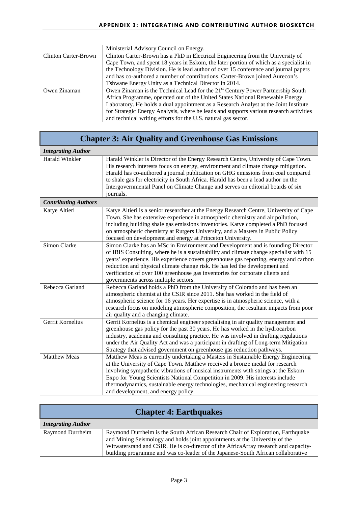|                             | Ministerial Advisory Council on Energy.                                                     |
|-----------------------------|---------------------------------------------------------------------------------------------|
| <b>Clinton Carter-Brown</b> | Clinton Carter-Brown has a PhD in Electrical Engineering from the University of             |
|                             | Cape Town, and spent 18 years in Eskom, the later portion of which as a specialist in       |
|                             | the Technology Division. He is lead author of over 15 conference and journal papers         |
|                             | and has co-authored a number of contributions. Carter-Brown joined Aurecon's                |
|                             | Tshwane Energy Unity as a Technical Director in 2014.                                       |
| Owen Zinaman                | Owen Zinaman is the Technical Lead for the 21 <sup>st</sup> Century Power Partnership South |
|                             | Africa Programme, operated out of the United States National Renewable Energy               |
|                             | Laboratory. He holds a dual appointment as a Research Analyst at the Joint Institute        |
|                             | for Strategic Energy Analysis, where he leads and supports various research activities      |
|                             | and technical writing efforts for the U.S. natural gas sector.                              |

| <b>Chapter 3: Air Quality and Greenhouse Gas Emissions</b> |                                                                                                                                                                                                                                                                                                                                                                                                                                                                          |
|------------------------------------------------------------|--------------------------------------------------------------------------------------------------------------------------------------------------------------------------------------------------------------------------------------------------------------------------------------------------------------------------------------------------------------------------------------------------------------------------------------------------------------------------|
| <b>Integrating Author</b>                                  |                                                                                                                                                                                                                                                                                                                                                                                                                                                                          |
| <b>Harald Winkler</b>                                      | Harald Winkler is Director of the Energy Research Centre, University of Cape Town.<br>His research interests focus on energy, environment and climate change mitigation.<br>Harald has co-authored a journal publication on GHG emissions from coal compared<br>to shale gas for electricity in South Africa. Harald has been a lead author on the<br>Intergovernmental Panel on Climate Change and serves on editorial boards of six<br>journals.                       |
| <b>Contributing Authors</b>                                |                                                                                                                                                                                                                                                                                                                                                                                                                                                                          |
| Katye Altieri                                              | Katye Altieri is a senior researcher at the Energy Research Centre, University of Cape<br>Town. She has extensive experience in atmospheric chemistry and air pollution,<br>including building shale gas emissions inventories. Katye completed a PhD focused<br>on atmospheric chemistry at Rutgers University, and a Masters in Public Policy<br>focused on development and energy at Princeton University.                                                            |
| Simon Clarke                                               | Simon Clarke has an MSc in Environment and Development and is founding Director<br>of IBIS Consulting, where he is a sustainability and climate change specialist with 15<br>years' experience. His experience covers greenhouse gas reporting, energy and carbon<br>reduction and physical climate change risk. He has led the development and<br>verification of over 100 greenhouse gas inventories for corporate clients and<br>governments across multiple sectors. |
| Rebecca Garland                                            | Rebecca Garland holds a PhD from the University of Colorado and has been an<br>atmospheric chemist at the CSIR since 2011. She has worked in the field of<br>atmospheric science for 16 years. Her expertise is in atmospheric science, with a<br>research focus on modeling atmospheric composition, the resultant impacts from poor<br>air quality and a changing climate.                                                                                             |
| Gerrit Kornelius                                           | Gerrit Kornelius is a chemical engineer specialising in air quality management and<br>greenhouse gas policy for the past 30 years. He has worked in the hydrocarbon<br>industry, academia and consulting practice. He was involved in drafting regulations<br>under the Air Quality Act and was a participant in drafting of Long-term Mitigation<br>Strategy that advised government on greenhouse gas reduction pathways.                                              |
| <b>Matthew Meas</b>                                        | Matthew Meas is currently undertaking a Masters in Sustainable Energy Engineering<br>at the University of Cape Town. Matthew received a bronze medal for research<br>involving sympathetic vibrations of musical instruments with strings at the Eskom<br>Expo for Young Scientists National Competition in 2009. His interests include<br>thermodynamics, sustainable energy technologies, mechanical engineering research<br>and development, and energy policy.       |
|                                                            |                                                                                                                                                                                                                                                                                                                                                                                                                                                                          |
| <b>Chapter 4: Earthquakes</b>                              |                                                                                                                                                                                                                                                                                                                                                                                                                                                                          |
| <b>Integrating Author</b>                                  |                                                                                                                                                                                                                                                                                                                                                                                                                                                                          |
| Raymond Durrheim                                           | Raymond Durrheim is the South African Research Chair of Exploration, Earthquake<br>and Mining Seismology and holds joint appointments at the University of the<br>Witwatersrand and CSIR. He is co-director of the AfricaArray research and capacity-                                                                                                                                                                                                                    |

building programme and was co-leader of the Japanese-South African collaborative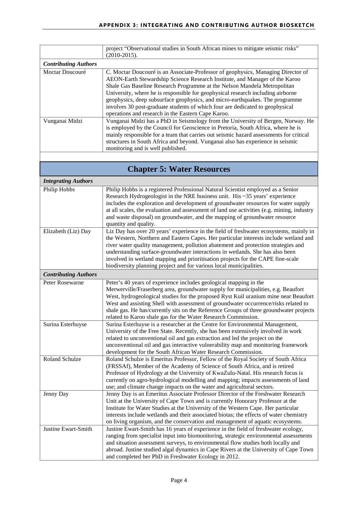|                             | project "Observational studies in South African mines to mitigate seismic risks"<br>$(2010-2015).$                                                                                                                                                                                                                                                                                                                                                                                                                                                    |
|-----------------------------|-------------------------------------------------------------------------------------------------------------------------------------------------------------------------------------------------------------------------------------------------------------------------------------------------------------------------------------------------------------------------------------------------------------------------------------------------------------------------------------------------------------------------------------------------------|
| <b>Contributing Authors</b> |                                                                                                                                                                                                                                                                                                                                                                                                                                                                                                                                                       |
| Moctar Doucouré             | C. Moctar Doucouré is an Associate-Professor of geophysics, Managing Director of<br>AEON-Earth Stewardship Science Research Institute, and Manager of the Karoo<br>Shale Gas Baseline Research Programme at the Nelson Mandela Metropolitan<br>University, where he is responsible for geophysical research including airborne<br>geophysics, deep subsurface geophysics, and micro-earthquakes. The programme<br>involves 30 post-graduate students of which four are dedicated to geophysical<br>operations and research in the Eastern Cape Karoo. |
| Vunganai Midzi              | Vunganai Midzi has a PhD in Seismology from the University of Bergen, Norway. He<br>is employed by the Council for Geoscience in Pretoria, South Africa, where he is<br>mainly responsible for a team that carries out seismic hazard assessments for critical<br>structures in South Africa and beyond. Vunganai also has experience in seismic<br>monitoring and is well published.                                                                                                                                                                 |
|                             |                                                                                                                                                                                                                                                                                                                                                                                                                                                                                                                                                       |
|                             | <b>Chapter 5: Water Resources</b>                                                                                                                                                                                                                                                                                                                                                                                                                                                                                                                     |
| <b>Integrating Authors</b>  |                                                                                                                                                                                                                                                                                                                                                                                                                                                                                                                                                       |
| Philip Hobbs                | Philip Hobbs is a registered Professional Natural Scientist employed as a Senior<br>Research Hydrogeologist in the NRE business unit. His $\sim$ 35 years' experience<br>includes the exploration and development of groundwater resources for water supply<br>at all scales, the evaluation and assessment of land use activities (e.g. mining, industry<br>and waste disposal) on groundwater, and the mapping of groundwater resource<br>quantity and quality.                                                                                     |
| Elizabeth (Liz) Day         | Liz Day has over 20 years' experience in the field of freshwater ecosystems, mainly in<br>the Western, Northern and Eastern Capes. Her particular interests include wetland and<br>river water quality management, pollution abatement and protection strategies and<br>understanding surface-groundwater interactions in wetlands. She has also been<br>involved in wetland mapping and prioritisation projects for the CAPE fine-scale<br>biodiversity planning project and for various local municipalities.                                       |
| <b>Contributing Authors</b> |                                                                                                                                                                                                                                                                                                                                                                                                                                                                                                                                                       |
| Peter Rosewarne             | Peter's 40 years of experience includes geological mapping in the<br>Merwerville/Fraserberg area, groundwater supply for municipalities, e.g. Beaufort<br>West, hydrogeological studies for the proposed Ryst Kuil uranium mine near Beaufort<br>West and assisting Shell with assessment of groundwater occurrence/risks related to<br>shale gas. He has/currently sits on the Reference Groups of three groundwater projects<br>related to Karoo shale gas for the Water Research Commission.                                                       |
| Surina Esterhuyse           | Surina Esterhuyse is a researcher at the Centre for Environmental Management,<br>University of the Free State. Recently, she has been extensively involved in work<br>related to unconventional oil and gas extraction and led the project on the<br>unconventional oil and gas interactive vulnerability map and monitoring framework<br>development for the South African Water Research Commission.                                                                                                                                                |
| Roland Schulze              | Roland Schulze is Emeritus Professor, Fellow of the Royal Society of South Africa<br>(FRSSAf), Member of the Academy of Science of South Africa, and is retired<br>Professor of Hydrology at the University of KwaZulu-Natal. His research focus is<br>currently on agro-hydrological modelling and mapping; impacts assessments of land<br>use; and climate change impacts on the water and agricultural sectors.                                                                                                                                    |
| Jenny Day                   | Jenny Day is an Emeritus Associate Professor Director of the Freshwater Research<br>Unit at the University of Cape Town and is currently Honorary Professor at the<br>Institute for Water Studies at the University of the Western Cape. Her particular<br>interests include wetlands and their associated biotas; the effects of water chemistry<br>on living organism, and the conservation and management of aquatic ecosystems.                                                                                                                   |
| Justine Ewart-Smith         | Justine Ewart-Smith has 16 years of experience in the field of freshwater ecology,<br>ranging from specialist input into biomonitoring, strategic environmental assessments<br>and situation assessment surveys, to environmental flow studies both locally and<br>abroad. Justine studied algal dynamics in Cape Rivers at the University of Cape Town<br>and completed her PhD in Freshwater Ecology in 2012.                                                                                                                                       |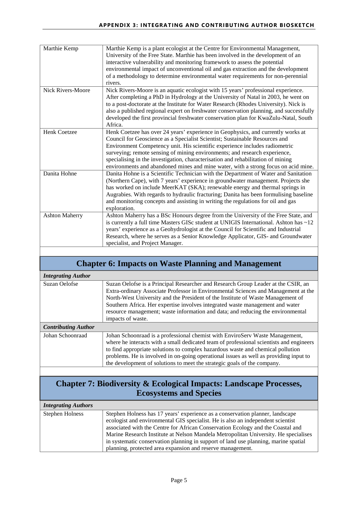| Marthie Kemp             | Marthie Kemp is a plant ecologist at the Centre for Environmental Management,<br>University of the Free State. Marthie has been involved in the development of an<br>interactive vulnerability and monitoring framework to assess the potential<br>environmental impact of unconventional oil and gas extraction and the development                                                                                                                                                                   |
|--------------------------|--------------------------------------------------------------------------------------------------------------------------------------------------------------------------------------------------------------------------------------------------------------------------------------------------------------------------------------------------------------------------------------------------------------------------------------------------------------------------------------------------------|
|                          | of a methodology to determine environmental water requirements for non-perennial<br>rivers.                                                                                                                                                                                                                                                                                                                                                                                                            |
| <b>Nick Rivers-Moore</b> | Nick Rivers-Moore is an aquatic ecologist with 15 years' professional experience.<br>After completing a PhD in Hydrology at the University of Natal in 2003, he went on<br>to a post-doctorate at the Institute for Water Research (Rhodes University). Nick is<br>also a published regional expert on freshwater conservation planning, and successfully<br>developed the first provincial freshwater conservation plan for KwaZulu-Natal, South<br>Africa.                                           |
| <b>Henk Coetzee</b>      | Henk Coetzee has over 24 years' experience in Geophysics, and currently works at<br>Council for Geoscience as a Specialist Scientist; Sustainable Resources and<br>Environment Competency unit. His scientific experience includes radiometric<br>surveying; remote sensing of mining environments; and research experience,<br>specialising in the investigation, characterisation and rehabilitation of mining<br>environments and abandoned mines and mine water, with a strong focus on acid mine. |
| Danita Hohne             | Danita Hohne is a Scientific Technician with the Department of Water and Sanitation<br>(Northern Cape), with 7 years' experience in groundwater management. Projects she<br>has worked on include MeerKAT (SKA); renewable energy and thermal springs in<br>Augrabies. With regards to hydraulic fracturing; Danita has been formulising baseline<br>and monitoring concepts and assisting in writing the regulations for oil and gas<br>exploration.                                                  |
| <b>Ashton Maherry</b>    | Ashton Maherry has a BSc Honours degree from the University of the Free State, and<br>is currently a full time Masters GISc student at UNIGIS International. Ashton has ~12<br>years' experience as a Geohydrologist at the Council for Scientific and Industrial<br>Research, where he serves as a Senior Knowledge Applicator, GIS- and Groundwater<br>specialist, and Project Manager.                                                                                                              |

#### **Chapter 6: Impacts on Waste Planning and Management**

| <b>Integrating Author</b>  |                                                                                                                                                                                                                                                                                                                                                                                                                                                     |
|----------------------------|-----------------------------------------------------------------------------------------------------------------------------------------------------------------------------------------------------------------------------------------------------------------------------------------------------------------------------------------------------------------------------------------------------------------------------------------------------|
| Suzan Oelofse              | Suzan Oelofse is a Principal Researcher and Research Group Leader at the CSIR, an<br>Extra-ordinary Associate Professor in Environmental Sciences and Management at the<br>North-West University and the President of the Institute of Waste Management of<br>Southern Africa. Her expertise involves integrated waste management and water<br>resource management; waste information and data; and reducing the environmental<br>impacts of waste. |
| <b>Contributing Author</b> |                                                                                                                                                                                                                                                                                                                                                                                                                                                     |
| Johan Schoonraad           | Johan Schoonraad is a professional chemist with EnviroServ Waste Management,<br>where he interacts with a small dedicated team of professional scientists and engineers<br>to find appropriate solutions to complex hazardous waste and chemical pollution<br>problems. He is involved in on-going operational issues as well as providing input to<br>the development of solutions to meet the strategic goals of the company.                     |

#### **Chapter 7: Biodiversity & Ecological Impacts: Landscape Processes, Ecosystems and Species**

| <b>Integrating Authors</b> |                                                                                     |
|----------------------------|-------------------------------------------------------------------------------------|
| <b>Stephen Holness</b>     | Stephen Holness has 17 years' experience as a conservation planner, landscape       |
|                            | ecologist and environmental GIS specialist. He is also an independent scientist     |
|                            | associated with the Centre for African Conservation Ecology and the Coastal and     |
|                            | Marine Research Institute at Nelson Mandela Metropolitan University. He specialises |
|                            | in systematic conservation planning in support of land use planning, marine spatial |
|                            | planning, protected area expansion and reserve management.                          |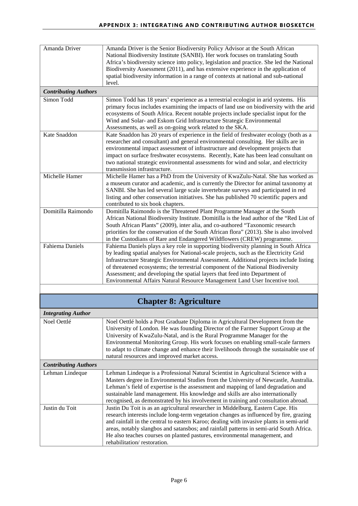| Amanda Driver               | Amanda Driver is the Senior Biodiversity Policy Advisor at the South African<br>National Biodiversity Institute (SANBI). Her work focuses on translating South<br>Africa's biodiversity science into policy, legislation and practice. She led the National<br>Biodiversity Assessment (2011), and has extensive experience in the application of<br>spatial biodiversity information in a range of contexts at national and sub-national<br>level.                                                                      |
|-----------------------------|--------------------------------------------------------------------------------------------------------------------------------------------------------------------------------------------------------------------------------------------------------------------------------------------------------------------------------------------------------------------------------------------------------------------------------------------------------------------------------------------------------------------------|
| <b>Contributing Authors</b> |                                                                                                                                                                                                                                                                                                                                                                                                                                                                                                                          |
| Simon Todd                  | Simon Todd has 18 years' experience as a terrestrial ecologist in arid systems. His<br>primary focus includes examining the impacts of land use on biodiversity with the arid<br>ecosystems of South Africa. Recent notable projects include specialist input for the<br>Wind and Solar- and Eskom Grid Infrastructure Strategic Environmental<br>Assessments, as well as on-going work related to the SKA.                                                                                                              |
| Kate Snaddon                | Kate Snaddon has 20 years of experience in the field of freshwater ecology (both as a<br>researcher and consultant) and general environmental consulting. Her skills are in<br>environmental impact assessment of infrastructure and development projects that<br>impact on surface freshwater ecosystems. Recently, Kate has been lead consultant on<br>two national strategic environmental assessments for wind and solar, and electricity<br>transmission infrastructure.                                            |
| Michelle Hamer              | Michelle Hamer has a PhD from the University of KwaZulu-Natal. She has worked as<br>a museum curator and academic, and is currently the Director for animal taxonomy at<br>SANBI. She has led several large scale invertebrate surveys and participated in red<br>listing and other conservation initiatives. She has published 70 scientific papers and<br>contributed to six book chapters.                                                                                                                            |
| Domitilla Raimondo          | Domitilla Raimondo is the Threatened Plant Programme Manager at the South<br>African National Biodiversity Institute. Domitilla is the lead author of the "Red List of<br>South African Plants" (2009), inter alia, and co-authored "Taxonomic research<br>priorities for the conservation of the South African flora" (2013). She is also involved<br>in the Custodians of Rare and Endangered Wildflowers (CREW) programme.                                                                                            |
| <b>Fahiema Daniels</b>      | Fahiema Daniels plays a key role in supporting biodiversity planning in South Africa<br>by leading spatial analyses for National-scale projects, such as the Electricity Grid<br>Infrastructure Strategic Environmental Assessment. Additional projects include listing<br>of threatened ecosystems; the terrestrial component of the National Biodiversity<br>Assessment; and developing the spatial layers that feed into Department of<br>Environmental Affairs Natural Resource Management Land User Incentive tool. |
|                             |                                                                                                                                                                                                                                                                                                                                                                                                                                                                                                                          |
|                             | <b>Chapter 8: Agriculture</b>                                                                                                                                                                                                                                                                                                                                                                                                                                                                                            |
| <b>Integrating Author</b>   |                                                                                                                                                                                                                                                                                                                                                                                                                                                                                                                          |
| Noel Oettlé                 | Noel Oettlé holds a Post Graduate Diploma in Agricultural Development from the<br>University of London. He was founding Director of the Farmer Support Group at the<br>University of KwaZulu-Natal, and is the Rural Programme Manager for the<br>Environmental Monitoring Group. His work focuses on enabling small-scale farmers<br>to adapt to climate change and enhance their livelihoods through the sustainable use of<br>natural resources and improved market access.                                           |
| <b>Contributing Authors</b> |                                                                                                                                                                                                                                                                                                                                                                                                                                                                                                                          |
| Lehman Lindeque             | Lehman Lindeque is a Professional Natural Scientist in Agricultural Science with a<br>Masters degree in Environmental Studies from the University of Newcastle, Australia.<br>Lehman's field of expertise is the assessment and mapping of land degradation and<br>sustainable land management. His knowledge and skills are also internationally<br>recognised, as demonstrated by his involvement in training and consultation abroad.                                                                                 |
| Justin du Toit              | Justin Du Toit is as an agricultural researcher in Middelburg, Eastern Cape. His<br>research interests include long-term vegetation changes as influenced by fire, grazing<br>and rainfall in the central to eastern Karoo; dealing with invasive plants in semi-arid<br>areas, notably slangbos and satansbos; and rainfall patterns in semi-arid South Africa.<br>He also teaches courses on planted pastures, environmental management, and<br>rehabilitation/restoration.                                            |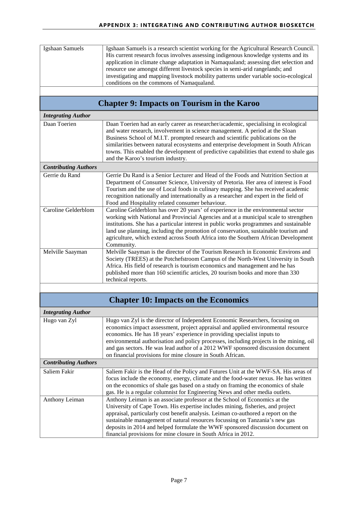| Igshaan Samuels             | Igshaan Samuels is a research scientist working for the Agricultural Research Council.<br>His current research focus involves assessing indigenous knowledge systems and its<br>application in climate change adaptation in Namaqualand; assessing diet selection and<br>resource use amongst different livestock species in semi-arid rangelands; and<br>investigating and mapping livestock mobility patterns under variable socio-ecological<br>conditions on the commons of Namaqualand. |
|-----------------------------|----------------------------------------------------------------------------------------------------------------------------------------------------------------------------------------------------------------------------------------------------------------------------------------------------------------------------------------------------------------------------------------------------------------------------------------------------------------------------------------------|
|                             |                                                                                                                                                                                                                                                                                                                                                                                                                                                                                              |
|                             | <b>Chapter 9: Impacts on Tourism in the Karoo</b>                                                                                                                                                                                                                                                                                                                                                                                                                                            |
| <b>Integrating Author</b>   |                                                                                                                                                                                                                                                                                                                                                                                                                                                                                              |
| Daan Toerien                | Daan Toerien had an early career as researcher/academic, specialising in ecological<br>and water research, involvement in science management. A period at the Sloan<br>Business School of M.I.T. prompted research and scientific publications on the<br>similarities between natural ecosystems and enterprise development in South African<br>towns. This enabled the development of predictive capabilities that extend to shale gas<br>and the Karoo's tourism industry.                 |
| <b>Contributing Authors</b> |                                                                                                                                                                                                                                                                                                                                                                                                                                                                                              |
| Gerrie du Rand              | Gerrie Du Rand is a Senior Lecturer and Head of the Foods and Nutrition Section at<br>Department of Consumer Science, University of Pretoria. Her area of interest is Food<br>Tourism and the use of Local foods in culinary mapping. She has received academic<br>recognition nationally and internationally as a researcher and expert in the field of<br>Food and Hospitality related consumer behaviour.                                                                                 |
| <b>Caroline Gelderblom</b>  | Caroline Gelderblom has over 20 years' of experience in the environmental sector<br>working with National and Provincial Agencies and at a municipal scale to strengthen<br>institutions. She has a particular interest in public works programmes and sustainable<br>land use planning, including the promotion of conservation, sustainable tourism and<br>agriculture, which extend across South Africa into the Southern African Development<br>Community.                               |
| Melville Saayman            | Melville Saayman is the director of the Tourism Research in Economic Environs and<br>Society (TREES) at the Potchefstroom Campus of the North-West University in South<br>Africa. His field of research is tourism economics and management and he has<br>published more than 160 scientific articles, 20 tourism books and more than 330<br>technical reports.                                                                                                                              |
|                             |                                                                                                                                                                                                                                                                                                                                                                                                                                                                                              |
|                             | <b>Chapter 10: Impacts on the Economics</b>                                                                                                                                                                                                                                                                                                                                                                                                                                                  |
| <b>Integrating Author</b>   |                                                                                                                                                                                                                                                                                                                                                                                                                                                                                              |
| Hugo van Zyl                | Hugo van Zyl is the director of Independent Economic Researchers, focusing on<br>economics impact assessment, project appraisal and applied environmental resource<br>economics. He has 18 years' experience in providing specialist inputs to<br>environmental authorisation and policy processes, including projects in the mining, oil<br>and gas sectors. He was lead author of a 2012 WWF sponsored discussion document<br>on financial provisions for mine closure in South African.   |
| <b>Contributing Authors</b> |                                                                                                                                                                                                                                                                                                                                                                                                                                                                                              |
| Saliem Fakir                | Saliem Fakir is the Head of the Policy and Futures Unit at the WWF-SA. His areas of<br>focus include the economy, energy, climate and the food-water nexus. He has written<br>on the economics of shale gas based on a study on framing the economics of shale<br>gas. He is a regular columnist for Engineering News and other media outlets.                                                                                                                                               |
| Anthony Leiman              | Anthony Leiman is an associate professor at the School of Economics at the<br>University of Cape Town. His expertise includes mining, fisheries, and project<br>appraisal, particularly cost benefit analysis. Leiman co-authored a report on the<br>sustainable management of natural resources focussing on Tanzania's new gas<br>deposits in 2014 and helped formulate the WWF sponsored discussion document on<br>financial provisions for mine closure in South Africa in 2012.         |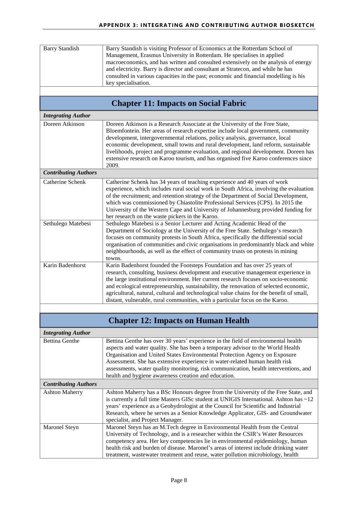| <b>Barry Standish</b>       | Barry Standish is visiting Professor of Economics at the Rotterdam School of<br>Management, Erasmus University in Rotterdam. He specialises in applied<br>macroeconomics, and has written and consulted extensively on the analysis of energy<br>and electricity. Barry is director and consultant at Stratecon, and while he has<br>consulted in various capacities in the past; economic and financial modelling is his<br>key specialisation.                                                                              |
|-----------------------------|-------------------------------------------------------------------------------------------------------------------------------------------------------------------------------------------------------------------------------------------------------------------------------------------------------------------------------------------------------------------------------------------------------------------------------------------------------------------------------------------------------------------------------|
|                             |                                                                                                                                                                                                                                                                                                                                                                                                                                                                                                                               |
|                             | <b>Chapter 11: Impacts on Social Fabric</b>                                                                                                                                                                                                                                                                                                                                                                                                                                                                                   |
| <b>Integrating Author</b>   |                                                                                                                                                                                                                                                                                                                                                                                                                                                                                                                               |
| Doreen Atkinson             | Doreen Atkinson is a Research Associate at the University of the Free State,<br>Bloemfontein. Her areas of research expertise include local government, community<br>development, intergovernmental relations, policy analysis, governance, local<br>economic development, small towns and rural development, land reform, sustainable<br>livelihoods, project and programme evaluation, and regional development. Doreen has<br>extensive research on Karoo tourism, and has organised five Karoo conferences since<br>2009. |
| <b>Contributing Authors</b> |                                                                                                                                                                                                                                                                                                                                                                                                                                                                                                                               |
| Catherine Schenk            | Catherine Schenk has 34 years of teaching experience and 40 years of work<br>experience, which includes rural social work in South Africa, involving the evaluation<br>of the recruitment; and retention strategy of the Department of Social Development,<br>which was commissioned by Chiastolite Professional Services (CPS). In 2015 the<br>University of the Western Cape and University of Johannesburg provided funding for<br>her research on the waste pickers in the Karoo.                                         |
| Sethulego Matebesi          | Sethulego Matebesi is a Senior Lecturer and Acting Academic Head of the<br>Department of Sociology at the University of the Free State. Sethulego's research<br>focuses on community protests in South Africa, specifically the differential social<br>organisation of communities and civic organisations in predominantly black and white<br>neighbourhoods, as well as the effect of community trusts on protests in mining<br>towns.                                                                                      |
| Karin Badenhorst            | Karin Badenhorst founded the Footsteps Foundation and has over 25 years of<br>research, consulting, business development and executive management experience in<br>the large institutional environment. Her current research focuses on socio-economic<br>and ecological entrepreneurship, sustainability, the renovation of selected economic,<br>agricultural, natural, cultural and technological value chains for the benefit of small,<br>distant, vulnerable, rural communities, with a particular focus on the Karoo.  |
|                             | <b>Chapter 12: Impacts on Human Health</b>                                                                                                                                                                                                                                                                                                                                                                                                                                                                                    |
|                             |                                                                                                                                                                                                                                                                                                                                                                                                                                                                                                                               |
| <b>Integrating Author</b>   |                                                                                                                                                                                                                                                                                                                                                                                                                                                                                                                               |
| <b>Bettina Genthe</b>       | Bettina Genthe has over 30 years' experience in the field of environmental health<br>aspects and water quality. She has been a temporary advisor to the World Health<br>Organisation and United States Environmental Protection Agency on Exposure<br>Assessment. She has extensive experience in water-related human health risk<br>assessments, water quality monitoring, risk communication, health interventions, and<br>health and hygiene awareness creation and education.                                             |
| <b>Contributing Authors</b> |                                                                                                                                                                                                                                                                                                                                                                                                                                                                                                                               |
| <b>Ashton Maherry</b>       | Ashton Maherry has a BSc Honours degree from the University of the Free State, and<br>is currently a full time Masters GISc student at UNIGIS International. Ashton has ~12<br>years' experience as a Geohydrologist at the Council for Scientific and Industrial<br>Research, where he serves as a Senior Knowledge Applicator, GIS- and Groundwater<br>specialist, and Project Manager.                                                                                                                                     |
| Maronel Steyn               | Maronel Steyn has an M.Tech degree in Environmental Health from the Central<br>University of Technology, and is a researcher within the CSIR's Water Resources<br>competency area. Her key competencies lie in environmental epidemiology, human<br>health risk and burden of disease. Maronel's areas of interest include drinking water<br>treatment, wastewater treatment and reuse, water pollution microbiology, health                                                                                                  |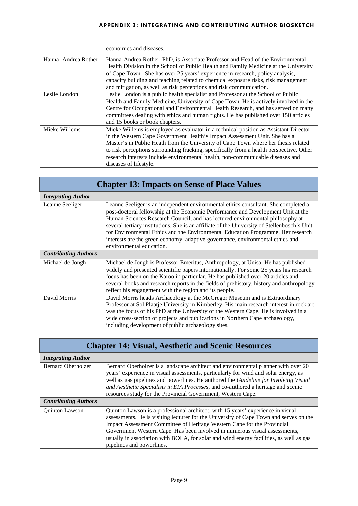|                     | economics and diseases.                                                                 |
|---------------------|-----------------------------------------------------------------------------------------|
| Hanna-Andrea Rother | Hanna-Andrea Rother, PhD, is Associate Professor and Head of the Environmental          |
|                     | Health Division in the School of Public Health and Family Medicine at the University    |
|                     | of Cape Town. She has over 25 years' experience in research, policy analysis,           |
|                     | capacity building and teaching related to chemical exposure risks, risk management      |
|                     | and mitigation, as well as risk perceptions and risk communication.                     |
| Leslie London       | Leslie London is a public health specialist and Professor at the School of Public       |
|                     | Health and Family Medicine, University of Cape Town. He is actively involved in the     |
|                     | Centre for Occupational and Environmental Health Research, and has served on many       |
|                     | committees dealing with ethics and human rights. He has published over 150 articles     |
|                     | and 15 books or book chapters.                                                          |
| Mieke Willems       | Mieke Willems is employed as evaluator in a technical position as Assistant Director    |
|                     | in the Western Cape Government Health's Impact Assessment Unit. She has a               |
|                     | Master's in Public Heath from the University of Cape Town where her thesis related      |
|                     | to risk perceptions surrounding fracking, specifically from a health perspective. Other |
|                     | research interests include environmental health, non-communicable diseases and          |
|                     | diseases of lifestyle.                                                                  |
|                     |                                                                                         |

### **Chapter 13: Impacts on Sense of Place Values**

| <b>Integrating Author</b>   |                                                                                                                                                                                                                                                                                                                                                                                                                                                                                                                                                          |
|-----------------------------|----------------------------------------------------------------------------------------------------------------------------------------------------------------------------------------------------------------------------------------------------------------------------------------------------------------------------------------------------------------------------------------------------------------------------------------------------------------------------------------------------------------------------------------------------------|
| Leanne Seeliger             | Leanne Seeliger is an independent environmental ethics consultant. She completed a<br>post-doctoral fellowship at the Economic Performance and Development Unit at the<br>Human Sciences Research Council, and has lectured environmental philosophy at<br>several tertiary institutions. She is an affiliate of the University of Stellenbosch's Unit<br>for Environmental Ethics and the Environmental Education Programme. Her research<br>interests are the green economy, adaptive governance, environmental ethics and<br>environmental education. |
| <b>Contributing Authors</b> |                                                                                                                                                                                                                                                                                                                                                                                                                                                                                                                                                          |
| Michael de Jongh            | Michael de Jongh is Professor Emeritus, Anthropology, at Unisa. He has published<br>widely and presented scientific papers internationally. For some 25 years his research<br>focus has been on the Karoo in particular. He has published over 20 articles and<br>several books and research reports in the fields of prehistory, history and anthropology<br>reflect his engagement with the region and its people.                                                                                                                                     |
| David Morris                | David Morris heads Archaeology at the McGregor Museum and is Extraordinary<br>Professor at Sol Plaatje University in Kimberley. His main research interest in rock art<br>was the focus of his PhD at the University of the Western Cape. He is involved in a<br>wide cross-section of projects and publications in Northern Cape archaeology,<br>including development of public archaeology sites.                                                                                                                                                     |

### **Chapter 14: Visual, Aesthetic and Scenic Resources**

| <b>Integrating Author</b>   |                                                                                                                                                                           |
|-----------------------------|---------------------------------------------------------------------------------------------------------------------------------------------------------------------------|
| <b>Bernard Oberholzer</b>   | Bernard Oberholzer is a landscape architect and environmental planner with over 20<br>years' experience in visual assessments, particularly for wind and solar energy, as |
|                             | well as gas pipelines and powerlines. He authored the <i>Guideline for Involving Visual</i>                                                                               |
|                             | and Aesthetic Specialists in EIA Processes, and co-authored a heritage and scenic                                                                                         |
|                             | resources study for the Provincial Government, Western Cape.                                                                                                              |
| <b>Contributing Authors</b> |                                                                                                                                                                           |
| <b>Ouinton Lawson</b>       | Quinton Lawson is a professional architect, with 15 years' experience in visual                                                                                           |
|                             | assessments. He is visiting lecturer for the University of Cape Town and serves on the                                                                                    |
|                             | Impact Assessment Committee of Heritage Western Cape for the Provincial                                                                                                   |
|                             | Government Western Cape. Has been involved in numerous visual assessments,                                                                                                |
|                             | usually in association with BOLA, for solar and wind energy facilities, as well as gas                                                                                    |
|                             | pipelines and powerlines.                                                                                                                                                 |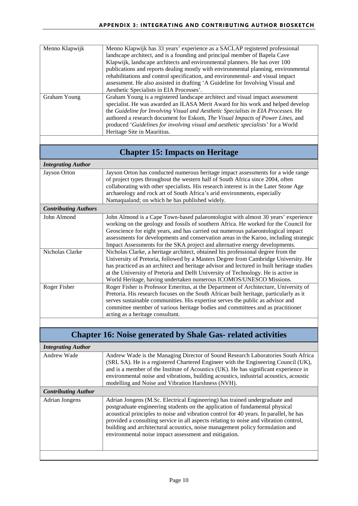| Menno Klapwijk | Menno Klapwijk has 33 years' experience as a SACLAP registered professional<br>landscape architect, and is a founding and principal member of Bapela Cave             |
|----------------|-----------------------------------------------------------------------------------------------------------------------------------------------------------------------|
|                | Klapwijk, landscape architects and environmental planners. He has over 100                                                                                            |
|                | publications and reports dealing mostly with environmental planning, environmental<br>rehabilitations and control specification, and environmental- and visual impact |
|                | assessment. He also assisted in drafting 'A Guideline for Involving Visual and                                                                                        |
|                | Aesthetic Specialists in EIA Processes'.                                                                                                                              |
| Graham Young   | Graham Young is a registered landscape architect and visual impact assessment                                                                                         |
|                | specialist. He was awarded an ILASA Merit Award for his work and helped develop                                                                                       |
|                | the Guideline for Involving Visual and Aesthetic Specialists in EIA Processes. He                                                                                     |
|                | authored a research document for Eskom, The Visual Impacts of Power Lines, and                                                                                        |
|                | produced 'Guidelines for involving visual and aesthetic specialists' for a World                                                                                      |
|                | Heritage Site in Mauritius.                                                                                                                                           |

### **Chapter 15: Impacts on Heritage**

#### *Integrating Author*

| Jayson Orton                | Jayson Orton has conducted numerous heritage impact assessments for a wide range<br>of project types throughout the western half of South Africa since 2004, often<br>collaborating with other specialists. His research interest is in the Later Stone Age<br>archaeology and rock art of South Africa's arid environments, especially<br>Namaqualand; on which he has published widely.                                             |
|-----------------------------|---------------------------------------------------------------------------------------------------------------------------------------------------------------------------------------------------------------------------------------------------------------------------------------------------------------------------------------------------------------------------------------------------------------------------------------|
|                             |                                                                                                                                                                                                                                                                                                                                                                                                                                       |
| <b>Contributing Authors</b> |                                                                                                                                                                                                                                                                                                                                                                                                                                       |
| John Almond                 | John Almond is a Cape Town-based palaeontologist with almost 30 years' experience<br>working on the geology and fossils of southern Africa. He worked for the Council for<br>Geoscience for eight years, and has carried out numerous palaeontological impact<br>assessments for developments and conservation areas in the Karoo, including strategic<br>Impact Assessments for the SKA project and alternative energy developments. |
| Nicholas Clarke             | Nicholas Clarke, a heritage architect, obtained his professional degree from the                                                                                                                                                                                                                                                                                                                                                      |

| 1 110110100 OR01110 | Thenonas Chame, a hermage aremieer, commed ms professional acgree from the                |
|---------------------|-------------------------------------------------------------------------------------------|
|                     | University of Pretoria, followed by a Masters Degree from Cambridge University. He        |
|                     | has practiced as an architect and heritage advisor and lectured in built heritage studies |
|                     | at the University of Pretoria and Delft University of Technology. He is active in         |
|                     | World Heritage, having undertaken numerous ICOMOS/UNESCO Missions.                        |
| Roger Fisher        | Roger Fisher is Professor Emeritus, at the Department of Architecture, University of      |
|                     | Pretoria. His research focuses on the South African built heritage, particularly as it    |
|                     | serves sustainable communities. His expertise serves the public as advisor and            |
|                     | committee member of various heritage bodies and committees and as practitioner            |
|                     | acting as a heritage consultant.                                                          |

#### **Chapter 16: Noise generated by Shale Gas- related activities**

| <b>Integrating Author</b>  |                                                                                                                                                                                                                                                                                                                                                                                                                                                                                          |
|----------------------------|------------------------------------------------------------------------------------------------------------------------------------------------------------------------------------------------------------------------------------------------------------------------------------------------------------------------------------------------------------------------------------------------------------------------------------------------------------------------------------------|
| Andrew Wade                | Andrew Wade is the Managing Director of Sound Research Laboratories South Africa<br>(SRL SA). He is a registered Chartered Engineer with the Engineering Council (UK),<br>and is a member of the Institute of Acoustics (UK). He has significant experience in<br>environmental noise and vibrations, building acoustics, industrial acoustics, acoustic<br>modelling and Noise and Vibration Harshness (NVH).                                                                           |
| <b>Contributing Author</b> |                                                                                                                                                                                                                                                                                                                                                                                                                                                                                          |
| <b>Adrian Jongens</b>      | Adrian Jongens (M.Sc. Electrical Engineering) has trained undergraduate and<br>postgraduate engineering students on the application of fundamental physical<br>acoustical principles to noise and vibration control for 40 years. In parallel, he has<br>provided a consulting service in all aspects relating to noise and vibration control,<br>building and architectural acoustics, noise management policy formulation and<br>environmental noise impact assessment and mitigation. |